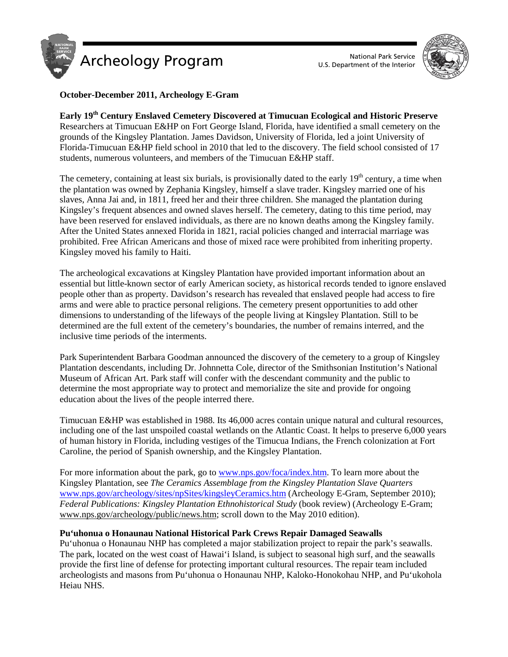



# **October-December 2011, Archeology E-Gram**

# **Early 19th Century Enslaved Cemetery Discovered at Timucuan Ecological and Historic Preserve**

Researchers at Timucuan E&HP on Fort George Island, Florida, have identified a small cemetery on the grounds of the Kingsley Plantation. James Davidson, University of Florida, led a joint University of Florida-Timucuan E&HP field school in 2010 that led to the discovery. The field school consisted of 17 students, numerous volunteers, and members of the Timucuan E&HP staff.

The cemetery, containing at least six burials, is provisionally dated to the early 19<sup>th</sup> century, a time when the plantation was owned by Zephania Kingsley, himself a slave trader. Kingsley married one of his slaves, Anna Jai and, in 1811, freed her and their three children. She managed the plantation during Kingsley's frequent absences and owned slaves herself. The cemetery, dating to this time period, may have been reserved for enslaved individuals, as there are no known deaths among the Kingsley family. After the United States annexed Florida in 1821, racial policies changed and interracial marriage was prohibited. Free African Americans and those of mixed race were prohibited from inheriting property. Kingsley moved his family to Haiti.

The archeological excavations at Kingsley Plantation have provided important information about an essential but little-known sector of early American society, as historical records tended to ignore enslaved people other than as property. Davidson's research has revealed that enslaved people had access to fire arms and were able to practice personal religions. The cemetery present opportunities to add other dimensions to understanding of the lifeways of the people living at Kingsley Plantation. Still to be determined are the full extent of the cemetery's boundaries, the number of remains interred, and the inclusive time periods of the interments.

Park Superintendent Barbara Goodman announced the discovery of the cemetery to a group of Kingsley Plantation descendants, including Dr. Johnnetta Cole, director of the Smithsonian Institution's National Museum of African Art. Park staff will confer with the descendant community and the public to determine the most appropriate way to protect and memorialize the site and provide for ongoing education about the lives of the people interred there.

Timucuan E&HP was established in 1988. Its 46,000 acres contain unique natural and cultural resources, including one of the last unspoiled coastal wetlands on the Atlantic Coast. It helps to preserve 6,000 years of human history in Florida, including vestiges of the Timucua Indians, the French colonization at Fort Caroline, the period of Spanish ownership, and the Kingsley Plantation.

For more information about the park, go to [www.nps.gov/foca/index.htm.](http://www.nps.gov/foca/index.htm) To learn more about the Kingsley Plantation, see *The Ceramics Assemblage from the Kingsley Plantation Slave Quarters* [www.nps.gov/archeology/sites/npSites/kingsleyCeramics.htm](http://www.nps.gov/archeology/sites/npSites/kingsleyCeramics.htm) (Archeology E-Gram, September 2010); *Federal Publications: Kingsley Plantation Ethnohistorical Study* (book review) (Archeology E-Gram; [www.nps.gov/archeology/public/news.htm;](http://www.nps.gov/archeology/public/news.htm) scroll down to the May 2010 edition).

# **Pu'uhonua o Honaunau National Historical Park Crews Repair Damaged Seawalls**

Pu'uhonua o Honaunau NHP has completed a major stabilization project to repair the park's seawalls. The park, located on the west coast of Hawai'i Island, is subject to seasonal high surf, and the seawalls provide the first line of defense for protecting important cultural resources. The repair team included archeologists and masons from Pu'uhonua o Honaunau NHP, Kaloko-Honokohau NHP, and Pu'ukohola Heiau NHS.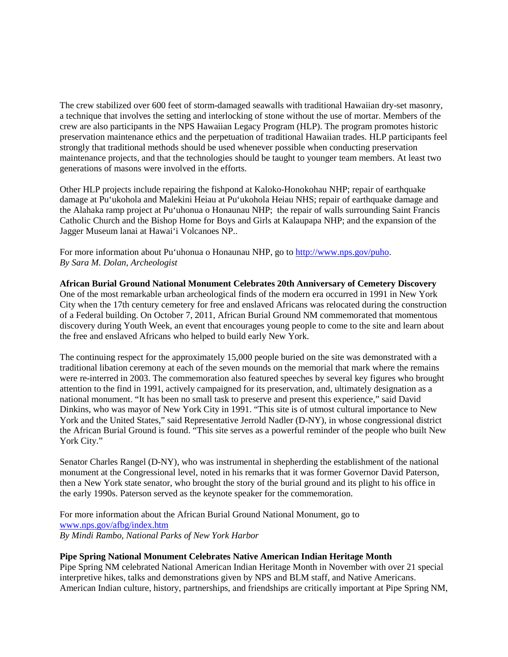The crew stabilized over 600 feet of storm-damaged seawalls with traditional Hawaiian dry-set masonry, a technique that involves the setting and interlocking of stone without the use of mortar. Members of the crew are also participants in the NPS Hawaiian Legacy Program (HLP). The program promotes historic preservation maintenance ethics and the perpetuation of traditional Hawaiian trades. HLP participants feel strongly that traditional methods should be used whenever possible when conducting preservation maintenance projects, and that the technologies should be taught to younger team members. At least two generations of masons were involved in the efforts.

Other HLP projects include repairing the fishpond at Kaloko-Honokohau NHP; repair of earthquake damage at Pu'ukohola and Malekini Heiau at Pu'ukohola Heiau NHS; repair of earthquake damage and the Alahaka ramp project at Pu'uhonua o Honaunau NHP; the repair of walls surrounding Saint Francis Catholic Church and the Bishop Home for Boys and Girls at Kalaupapa NHP; and the expansion of the Jagger Museum lanai at Hawai'i Volcanoes NP..

For more information about Pu'uhonua o Honaunau NHP, go to [http://www.nps.gov/puho.](http://www.nps.gov/puho) *By Sara M. Dolan, Archeologist*

#### **African Burial Ground National Monument Celebrates 20th Anniversary of Cemetery Discovery**

One of the most remarkable urban archeological finds of the modern era occurred in 1991 in New York City when the 17th century cemetery for free and enslaved Africans was relocated during the construction of a Federal building. On October 7, 2011, African Burial Ground NM commemorated that momentous discovery during Youth Week, an event that encourages young people to come to the site and learn about the free and enslaved Africans who helped to build early New York.

The continuing respect for the approximately 15,000 people buried on the site was demonstrated with a traditional libation ceremony at each of the seven mounds on the memorial that mark where the remains were re-interred in 2003. The commemoration also featured speeches by several key figures who brought attention to the find in 1991, actively campaigned for its preservation, and, ultimately designation as a national monument. "It has been no small task to preserve and present this experience," said David Dinkins, who was mayor of New York City in 1991. "This site is of utmost cultural importance to New York and the United States," said Representative Jerrold Nadler (D-NY), in whose congressional district the African Burial Ground is found. "This site serves as a powerful reminder of the people who built New York City."

Senator Charles Rangel (D-NY), who was instrumental in shepherding the establishment of the national monument at the Congressional level, noted in his remarks that it was former Governor David Paterson, then a New York state senator, who brought the story of the burial ground and its plight to his office in the early 1990s. Paterson served as the keynote speaker for the commemoration.

For more information about the African Burial Ground National Monument, go to [www.nps.gov/afbg/index.htm](http://www.nps.gov/afbg/index.htm) *By Mindi Rambo, National Parks of New York Harbor*

## **Pipe Spring National Monument Celebrates Native American Indian Heritage Month**

Pipe Spring NM celebrated National American Indian Heritage Month in November with over 21 special interpretive hikes, talks and demonstrations given by NPS and BLM staff, and Native Americans. American Indian culture, history, partnerships, and friendships are critically important at Pipe Spring NM,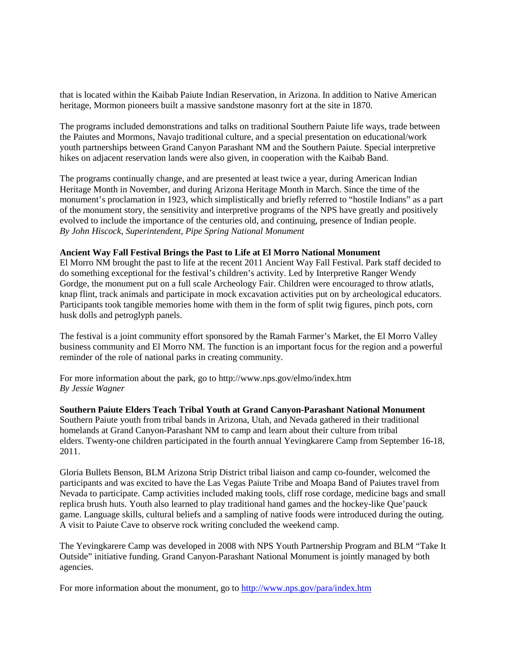that is located within the Kaibab Paiute Indian Reservation, in Arizona. In addition to Native American heritage, Mormon pioneers built a massive sandstone masonry fort at the site in 1870.

The programs included demonstrations and talks on traditional Southern Paiute life ways, trade between the Paiutes and Mormons, Navajo traditional culture, and a special presentation on educational/work youth partnerships between Grand Canyon Parashant NM and the Southern Paiute. Special interpretive hikes on adjacent reservation lands were also given, in cooperation with the Kaibab Band.

The programs continually change, and are presented at least twice a year, during American Indian Heritage Month in November, and during Arizona Heritage Month in March. Since the time of the monument's proclamation in 1923, which simplistically and briefly referred to "hostile Indians" as a part of the monument story, the sensitivity and interpretive programs of the NPS have greatly and positively evolved to include the importance of the centuries old, and continuing, presence of Indian people. *By John Hiscock, Superintendent, Pipe Spring National Monument*

#### **Ancient Way Fall Festival Brings the Past to Life at El Morro National Monument**

El Morro NM brought the past to life at the recent 2011 Ancient Way Fall Festival. Park staff decided to do something exceptional for the festival's children's activity. Led by Interpretive Ranger Wendy Gordge, the monument put on a full scale Archeology Fair. Children were encouraged to throw atlatls, knap flint, track animals and participate in mock excavation activities put on by archeological educators. Participants took tangible memories home with them in the form of split twig figures, pinch pots, corn husk dolls and petroglyph panels.

The festival is a joint community effort sponsored by the Ramah Farmer's Market, the El Morro Valley business community and El Morro NM. The function is an important focus for the region and a powerful reminder of the role of national parks in creating community.

For more information about the park, go to http://www.nps.gov/elmo/index.htm *By Jessie Wagner*

**Southern Paiute Elders Teach Tribal Youth at Grand Canyon-Parashant National Monument**

Southern Paiute youth from tribal bands in Arizona, Utah, and Nevada gathered in their traditional homelands at Grand Canyon-Parashant NM to camp and learn about their culture from tribal elders. Twenty-one children participated in the fourth annual Yevingkarere Camp from September 16-18, 2011.

Gloria Bullets Benson, BLM Arizona Strip District tribal liaison and camp co-founder, welcomed the participants and was excited to have the Las Vegas Paiute Tribe and Moapa Band of Paiutes travel from Nevada to participate. Camp activities included making tools, cliff rose cordage, medicine bags and small replica brush huts. Youth also learned to play traditional hand games and the hockey-like Que'pauck game. Language skills, cultural beliefs and a sampling of native foods were introduced during the outing. A visit to Paiute Cave to observe rock writing concluded the weekend camp.

The Yevingkarere Camp was developed in 2008 with NPS Youth Partnership Program and BLM "Take It Outside" initiative funding. Grand Canyon-Parashant National Monument is jointly managed by both agencies.

For more information about the monument, go to<http://www.nps.gov/para/index.htm>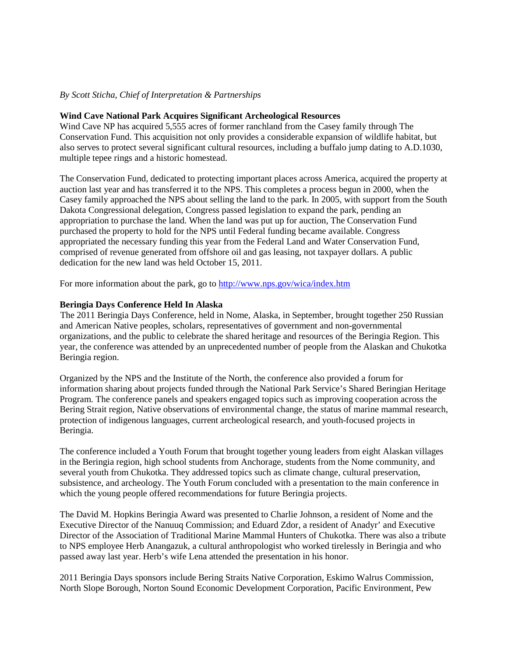## *By Scott Sticha, Chief of Interpretation & Partnerships*

## **Wind Cave National Park Acquires Significant Archeological Resources**

Wind Cave NP has acquired 5,555 acres of former ranchland from the Casey family through The Conservation Fund. This acquisition not only provides a considerable expansion of wildlife habitat, but also serves to protect several significant cultural resources, including a buffalo jump dating to A.D.1030, multiple tepee rings and a historic homestead.

The Conservation Fund, dedicated to protecting important places across America, acquired the property at auction last year and has transferred it to the NPS. This completes a process begun in 2000, when the Casey family approached the NPS about selling the land to the park. In 2005, with support from the South Dakota Congressional delegation, Congress passed legislation to expand the park, pending an appropriation to purchase the land. When the land was put up for auction, The Conservation Fund purchased the property to hold for the NPS until Federal funding became available. Congress appropriated the necessary funding this year from the Federal Land and Water Conservation Fund, comprised of revenue generated from offshore oil and gas leasing, not taxpayer dollars. A public dedication for the new land was held October 15, 2011.

For more information about the park, go to<http://www.nps.gov/wica/index.htm>

## **Beringia Days Conference Held In Alaska**

The 2011 Beringia Days Conference, held in Nome, Alaska, in September, brought together 250 Russian and American Native peoples, scholars, representatives of government and non-governmental organizations, and the public to celebrate the shared heritage and resources of the Beringia Region. This year, the conference was attended by an unprecedented number of people from the Alaskan and Chukotka Beringia region.

Organized by the NPS and the Institute of the North, the conference also provided a forum for information sharing about projects funded through the National Park Service's Shared Beringian Heritage Program. The conference panels and speakers engaged topics such as improving cooperation across the Bering Strait region, Native observations of environmental change, the status of marine mammal research, protection of indigenous languages, current archeological research, and youth-focused projects in Beringia.

The conference included a Youth Forum that brought together young leaders from eight Alaskan villages in the Beringia region, high school students from Anchorage, students from the Nome community, and several youth from Chukotka. They addressed topics such as climate change, cultural preservation, subsistence, and archeology. The Youth Forum concluded with a presentation to the main conference in which the young people offered recommendations for future Beringia projects.

The David M. Hopkins Beringia Award was presented to Charlie Johnson, a resident of Nome and the Executive Director of the Nanuuq Commission; and Eduard Zdor, a resident of Anadyr' and Executive Director of the Association of Traditional Marine Mammal Hunters of Chukotka. There was also a tribute to NPS employee Herb Anangazuk, a cultural anthropologist who worked tirelessly in Beringia and who passed away last year. Herb's wife Lena attended the presentation in his honor.

2011 Beringia Days sponsors include Bering Straits Native Corporation, Eskimo Walrus Commission, North Slope Borough, Norton Sound Economic Development Corporation, Pacific Environment, Pew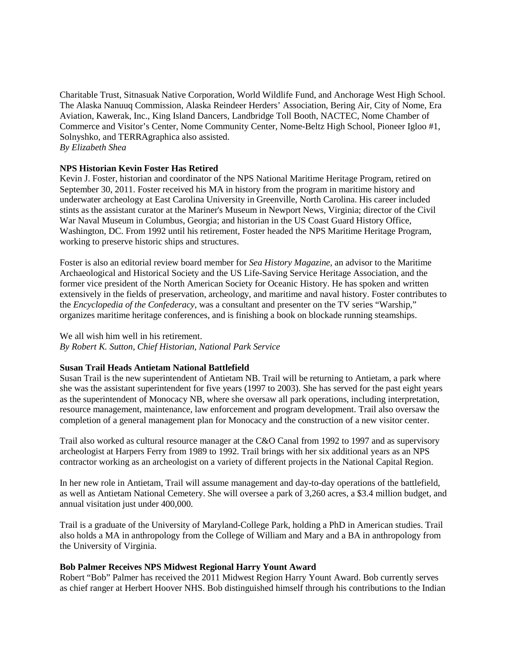Charitable Trust, Sitnasuak Native Corporation, World Wildlife Fund, and Anchorage West High School. The Alaska Nanuuq Commission, Alaska Reindeer Herders' Association, Bering Air, City of Nome, Era Aviation, Kawerak, Inc., King Island Dancers, Landbridge Toll Booth, NACTEC, Nome Chamber of Commerce and Visitor's Center, Nome Community Center, Nome-Beltz High School, Pioneer Igloo #1, Solnyshko, and TERRAgraphica also assisted. *By Elizabeth Shea*

## **NPS Historian Kevin Foster Has Retired**

Kevin J. Foster, historian and coordinator of the NPS National Maritime Heritage Program, retired on September 30, 2011. Foster received his MA in history from the program in maritime history and underwater archeology at East Carolina University in Greenville, North Carolina. His career included stints as the assistant curator at the Mariner's Museum in Newport News, Virginia; director of the Civil War Naval Museum in Columbus, Georgia; and historian in the US Coast Guard History Office, Washington, DC. From 1992 until his retirement, Foster headed the NPS Maritime Heritage Program, working to preserve historic ships and structures.

Foster is also an editorial review board member for *Sea History Magazine*, an advisor to the Maritime Archaeological and Historical Society and the US Life-Saving Service Heritage Association, and the former vice president of the North American Society for Oceanic History. He has spoken and written extensively in the fields of preservation, archeology, and maritime and naval history. Foster contributes to the *Encyclopedia of the Confederacy*, was a consultant and presenter on the TV series "Warship," organizes maritime heritage conferences, and is finishing a book on blockade running steamships.

#### We all wish him well in his retirement.

*By Robert K. Sutton, Chief Historian, National Park Service*

#### **Susan Trail Heads Antietam National Battlefield**

Susan Trail is the new superintendent of Antietam NB. Trail will be returning to Antietam, a park where she was the assistant superintendent for five years (1997 to 2003). She has served for the past eight years as the superintendent of Monocacy NB, where she oversaw all park operations, including interpretation, resource management, maintenance, law enforcement and program development. Trail also oversaw the completion of a general management plan for Monocacy and the construction of a new visitor center.

Trail also worked as cultural resource manager at the C&O Canal from 1992 to 1997 and as supervisory archeologist at Harpers Ferry from 1989 to 1992. Trail brings with her six additional years as an NPS contractor working as an archeologist on a variety of different projects in the National Capital Region.

In her new role in Antietam, Trail will assume management and day-to-day operations of the battlefield, as well as Antietam National Cemetery. She will oversee a park of 3,260 acres, a \$3.4 million budget, and annual visitation just under 400,000.

Trail is a graduate of the University of Maryland-College Park, holding a PhD in American studies. Trail also holds a MA in anthropology from the College of William and Mary and a BA in anthropology from the University of Virginia.

#### **Bob Palmer Receives NPS Midwest Regional Harry Yount Award**

Robert "Bob" Palmer has received the 2011 Midwest Region Harry Yount Award. Bob currently serves as chief ranger at Herbert Hoover NHS. Bob distinguished himself through his contributions to the Indian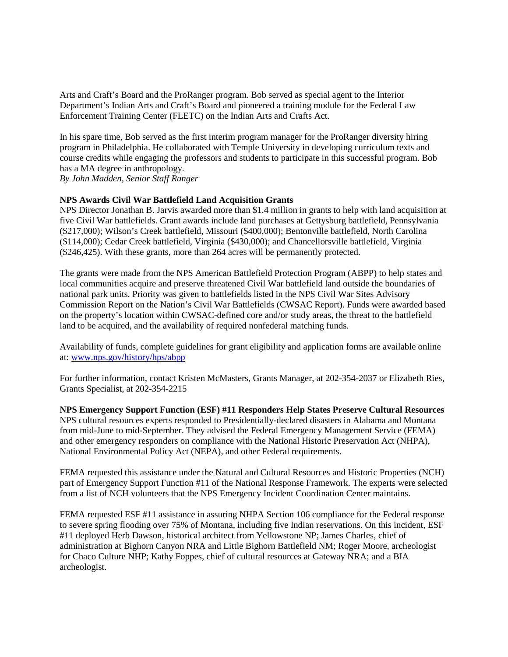Arts and Craft's Board and the ProRanger program. Bob served as special agent to the Interior Department's Indian Arts and Craft's Board and pioneered a training module for the Federal Law Enforcement Training Center (FLETC) on the Indian Arts and Crafts Act.

In his spare time, Bob served as the first interim program manager for the ProRanger diversity hiring program in Philadelphia. He collaborated with Temple University in developing curriculum texts and course credits while engaging the professors and students to participate in this successful program. Bob has a MA degree in anthropology.

*By John Madden, Senior Staff Ranger*

# **NPS Awards Civil War Battlefield Land Acquisition Grants**

NPS Director Jonathan B. Jarvis awarded more than \$1.4 million in grants to help with land acquisition at five Civil War battlefields. Grant awards include land purchases at Gettysburg battlefield, Pennsylvania (\$217,000); Wilson's Creek battlefield, Missouri (\$400,000); Bentonville battlefield, North Carolina (\$114,000); Cedar Creek battlefield, Virginia (\$430,000); and Chancellorsville battlefield, Virginia (\$246,425). With these grants, more than 264 acres will be permanently protected.

The grants were made from the NPS American Battlefield Protection Program (ABPP) to help states and local communities acquire and preserve threatened Civil War battlefield land outside the boundaries of national park units. Priority was given to battlefields listed in the NPS Civil War Sites Advisory Commission Report on the Nation's Civil War Battlefields (CWSAC Report). Funds were awarded based on the property's location within CWSAC-defined core and/or study areas, the threat to the battlefield land to be acquired, and the availability of required nonfederal matching funds.

Availability of funds, complete guidelines for grant eligibility and application forms are available online at[: www.nps.gov/history/hps/abpp](http://www.nps.gov/history/hps/abpp/)

For further information, contact Kristen McMasters, Grants Manager, at 202-354-2037 or Elizabeth Ries, Grants Specialist, at 202-354-2215

**NPS Emergency Support Function (ESF) #11 Responders Help States Preserve Cultural Resources** NPS cultural resources experts responded to Presidentially-declared disasters in Alabama and Montana from mid-June to mid-September. They advised the Federal Emergency Management Service (FEMA) and other emergency responders on compliance with the National Historic Preservation Act (NHPA), National Environmental Policy Act (NEPA), and other Federal requirements.

FEMA requested this assistance under the Natural and Cultural Resources and Historic Properties (NCH) part of Emergency Support Function #11 of the National Response Framework. The experts were selected from a list of NCH volunteers that the NPS Emergency Incident Coordination Center maintains.

FEMA requested ESF #11 assistance in assuring NHPA Section 106 compliance for the Federal response to severe spring flooding over 75% of Montana, including five Indian reservations. On this incident, ESF #11 deployed Herb Dawson, historical architect from Yellowstone NP; James Charles, chief of administration at Bighorn Canyon NRA and Little Bighorn Battlefield NM; Roger Moore, archeologist for Chaco Culture NHP; Kathy Foppes, chief of cultural resources at Gateway NRA; and a BIA archeologist.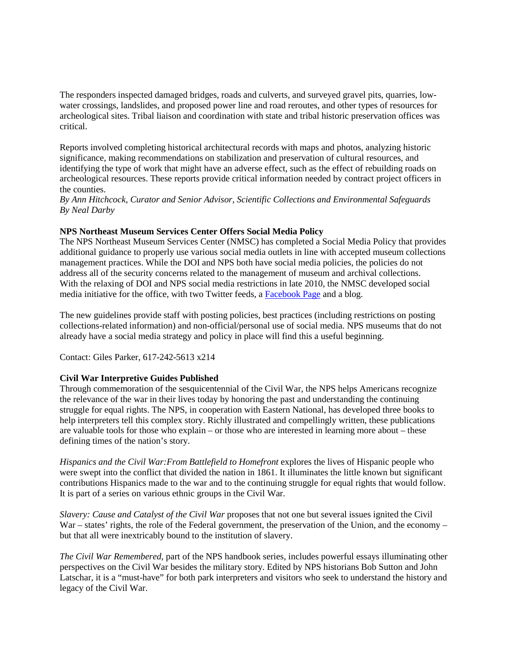The responders inspected damaged bridges, roads and culverts, and surveyed gravel pits, quarries, lowwater crossings, landslides, and proposed power line and road reroutes, and other types of resources for archeological sites. Tribal liaison and coordination with state and tribal historic preservation offices was critical.

Reports involved completing historical architectural records with maps and photos, analyzing historic significance, making recommendations on stabilization and preservation of cultural resources, and identifying the type of work that might have an adverse effect, such as the effect of rebuilding roads on archeological resources. These reports provide critical information needed by contract project officers in the counties.

*By Ann Hitchcock, Curator and Senior Advisor, Scientific Collections and Environmental Safeguards By Neal Darby*

## **NPS Northeast Museum Services Center Offers Social Media Policy**

The NPS Northeast Museum Services Center (NMSC) has completed a Social Media Policy that provides additional guidance to properly use various social media outlets in line with accepted museum collections management practices. While the DOI and NPS both have social media policies, the policies do not address all of the security concerns related to the management of museum and archival collections. With the relaxing of DOI and NPS social media restrictions in late 2010, the NMSC developed social media initiative for the office, with two Twitter feeds, a [Facebook Page](http://www.facebook.com/NPS.NMSC) and a blog.

The new guidelines provide staff with posting policies, best practices (including restrictions on posting collections-related information) and non-official/personal use of social media. NPS museums that do not already have a social media strategy and policy in place will find this a useful beginning.

Contact: Giles Parker, 617-242-5613 x214

# **Civil War Interpretive Guides Published**

Through commemoration of the sesquicentennial of the Civil War, the NPS helps Americans recognize the relevance of the war in their lives today by honoring the past and understanding the continuing struggle for equal rights. The NPS, in cooperation with Eastern National, has developed three books to help interpreters tell this complex story. Richly illustrated and compellingly written, these publications are valuable tools for those who explain – or those who are interested in learning more about – these defining times of the nation's story.

*Hispanics and the Civil War:From Battlefield to Homefront* explores the lives of Hispanic people who were swept into the conflict that divided the nation in 1861. It illuminates the little known but significant contributions Hispanics made to the war and to the continuing struggle for equal rights that would follow. It is part of a series on various ethnic groups in the Civil War.

*Slavery: Cause and Catalyst of the Civil War* proposes that not one but several issues ignited the Civil War – states' rights, the role of the Federal government, the preservation of the Union, and the economy – but that all were inextricably bound to the institution of slavery.

*The Civil War Remembered*, part of the NPS handbook series, includes powerful essays illuminating other perspectives on the Civil War besides the military story. Edited by NPS historians Bob Sutton and John Latschar, it is a "must-have" for both park interpreters and visitors who seek to understand the history and legacy of the Civil War.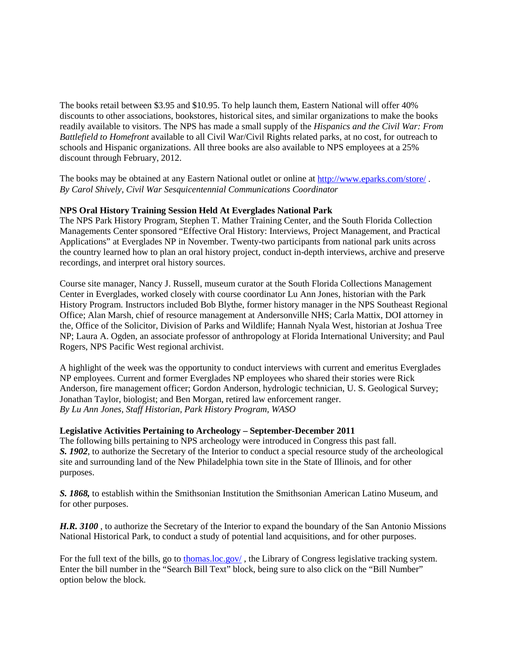The books retail between \$3.95 and \$10.95. To help launch them, Eastern National will offer 40% discounts to other associations, bookstores, historical sites, and similar organizations to make the books readily available to visitors. The NPS has made a small supply of the *Hispanics and the Civil War: From Battlefield to Homefront* available to all Civil War/Civil Rights related parks, at no cost, for outreach to schools and Hispanic organizations. All three books are also available to NPS employees at a 25% discount through February, 2012.

The books may be obtained at any Eastern National outlet or online a[t http://www.eparks.com/store/](http://www.eparks.com/store/) . *By Carol Shively, Civil War Sesquicentennial Communications Coordinator*

## **NPS Oral History Training Session Held At Everglades National Park**

The NPS Park History Program, Stephen T. Mather Training Center, and the South Florida Collection Managements Center sponsored "Effective Oral History: Interviews, Project Management, and Practical Applications" at Everglades NP in November. Twenty-two participants from national park units across the country learned how to plan an oral history project, conduct in-depth interviews, archive and preserve recordings, and interpret oral history sources.

Course site manager, Nancy J. Russell, museum curator at the South Florida Collections Management Center in Everglades, worked closely with course coordinator Lu Ann Jones, historian with the Park History Program. Instructors included Bob Blythe, former history manager in the NPS Southeast Regional Office; Alan Marsh, chief of resource management at Andersonville NHS; Carla Mattix, DOI attorney in the, Office of the Solicitor, Division of Parks and Wildlife; Hannah Nyala West, historian at Joshua Tree NP; Laura A. Ogden, an associate professor of anthropology at Florida International University; and Paul Rogers, NPS Pacific West regional archivist.

A highlight of the week was the opportunity to conduct interviews with current and emeritus Everglades NP employees. Current and former Everglades NP employees who shared their stories were Rick Anderson, fire management officer; Gordon Anderson, hydrologic technician, U. S. Geological Survey; Jonathan Taylor, biologist; and Ben Morgan, retired law enforcement ranger. *By Lu Ann Jones, Staff Historian, Park History Program, WASO*

#### **Legislative Activities Pertaining to Archeology – September-December 2011**

The following bills pertaining to NPS archeology were introduced in Congress this past fall. *S. 1902*, to authorize the Secretary of the Interior to conduct a special resource study of the archeological site and surrounding land of the New Philadelphia town site in the State of Illinois, and for other purposes.

*S. 1868,* to establish within the Smithsonian Institution the Smithsonian American Latino Museum, and for other purposes.

*H.R. 3100* , to authorize the Secretary of the Interior to expand the boundary of the San Antonio Missions National Historical Park, to conduct a study of potential land acquisitions, and for other purposes.

For the full text of the bills, go to [thomas.loc.gov/](http://thomas.loc.gov/), the Library of Congress legislative tracking system. Enter the bill number in the "Search Bill Text" block, being sure to also click on the "Bill Number" option below the block.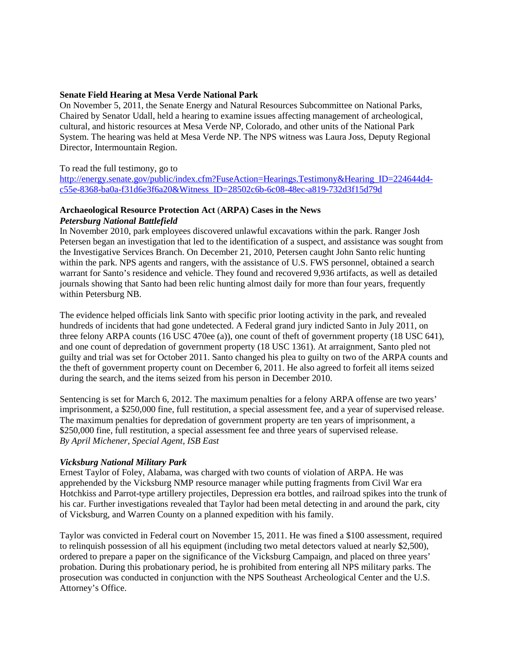# **Senate Field Hearing at Mesa Verde National Park**

On November 5, 2011, the Senate Energy and Natural Resources Subcommittee on National Parks, Chaired by Senator Udall, held a hearing to examine issues affecting management of archeological, cultural, and historic resources at Mesa Verde NP, Colorado, and other units of the National Park System. The hearing was held at Mesa Verde NP. The NPS witness was Laura Joss, Deputy Regional Director, Intermountain Region.

## To read the full testimony, go to

http://energy.senate.gov/public/index.cfm?FuseAction=Hearings.Testimony&Hearing ID=224644d4[c55e-8368-ba0a-f31d6e3f6a20&Witness\\_ID=28502c6b-6c08-48ec-a819-732d3f15d79d](http://energy.senate.gov/public/index.cfm?FuseAction=Hearings.Testimony&Hearing_ID=224644d4-c55e-8368-ba0a-f31d6e3f6a20&Witness_ID=28502c6b-6c08-48ec-a819-732d3f15d79d)

#### **Archaeological Resource Protection Act** (**ARPA) Cases in the News**  *Petersburg National Battlefield*

In November 2010, park employees discovered unlawful excavations within the park. Ranger Josh Petersen began an investigation that led to the identification of a suspect, and assistance was sought from the Investigative Services Branch. On December 21, 2010, Petersen caught John Santo relic hunting within the park. NPS agents and rangers, with the assistance of U.S. FWS personnel, obtained a search warrant for Santo's residence and vehicle. They found and recovered 9,936 artifacts, as well as detailed journals showing that Santo had been relic hunting almost daily for more than four years, frequently within Petersburg NB.

The evidence helped officials link Santo with specific prior looting activity in the park, and revealed hundreds of incidents that had gone undetected. A Federal grand jury indicted Santo in July 2011, on three felony ARPA counts (16 USC 470ee (a)), one count of theft of government property (18 USC 641), and one count of depredation of government property (18 USC 1361). At arraignment, Santo pled not guilty and trial was set for October 2011. Santo changed his plea to guilty on two of the ARPA counts and the theft of government property count on December 6, 2011. He also agreed to forfeit all items seized during the search, and the items seized from his person in December 2010.

Sentencing is set for March 6, 2012. The maximum penalties for a felony ARPA offense are two years' imprisonment, a \$250,000 fine, full restitution, a special assessment fee, and a year of supervised release. The maximum penalties for depredation of government property are ten years of imprisonment, a \$250,000 fine, full restitution, a special assessment fee and three years of supervised release. *By April Michener, Special Agent, ISB East*

# *Vicksburg National Military Park*

Ernest Taylor of Foley, Alabama, was charged with two counts of violation of ARPA. He was apprehended by the Vicksburg NMP resource manager while putting fragments from Civil War era Hotchkiss and Parrot-type artillery projectiles, Depression era bottles, and railroad spikes into the trunk of his car. Further investigations revealed that Taylor had been metal detecting in and around the park, city of Vicksburg, and Warren County on a planned expedition with his family.

Taylor was convicted in Federal court on November 15, 2011. He was fined a \$100 assessment, required to relinquish possession of all his equipment (including two metal detectors valued at nearly \$2,500), ordered to prepare a paper on the significance of the Vicksburg Campaign, and placed on three years' probation. During this probationary period, he is prohibited from entering all NPS military parks. The prosecution was conducted in conjunction with the NPS Southeast Archeological Center and the U.S. Attorney's Office.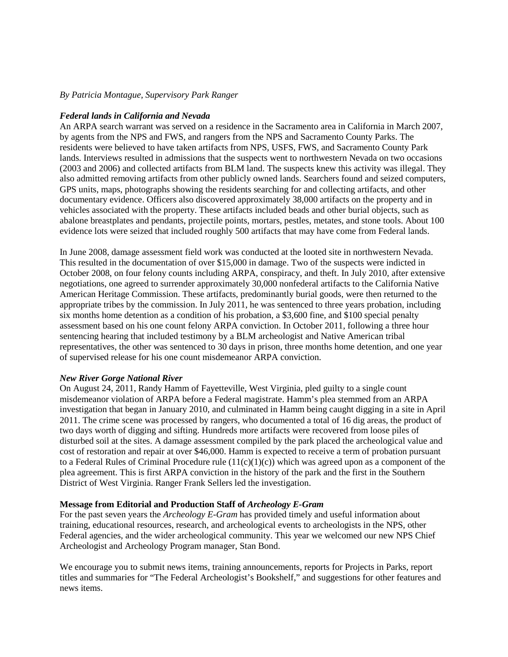#### *By Patricia Montague, Supervisory Park Ranger*

## *Federal lands in California and Nevada*

An ARPA search warrant was served on a residence in the Sacramento area in California in March 2007, by agents from the NPS and FWS, and rangers from the NPS and Sacramento County Parks. The residents were believed to have taken artifacts from NPS, USFS, FWS, and Sacramento County Park lands. Interviews resulted in admissions that the suspects went to northwestern Nevada on two occasions (2003 and 2006) and collected artifacts from BLM land. The suspects knew this activity was illegal. They also admitted removing artifacts from other publicly owned lands. Searchers found and seized computers, GPS units, maps, photographs showing the residents searching for and collecting artifacts, and other documentary evidence. Officers also discovered approximately 38,000 artifacts on the property and in vehicles associated with the property. These artifacts included beads and other burial objects, such as abalone breastplates and pendants, projectile points, mortars, pestles, metates, and stone tools. About 100 evidence lots were seized that included roughly 500 artifacts that may have come from Federal lands.

In June 2008, damage assessment field work was conducted at the looted site in northwestern Nevada. This resulted in the documentation of over \$15,000 in damage. Two of the suspects were indicted in October 2008, on four felony counts including ARPA, conspiracy, and theft. In July 2010, after extensive negotiations, one agreed to surrender approximately 30,000 nonfederal artifacts to the California Native American Heritage Commission. These artifacts, predominantly burial goods, were then returned to the appropriate tribes by the commission. In July 2011, he was sentenced to three years probation, including six months home detention as a condition of his probation, a \$3,600 fine, and \$100 special penalty assessment based on his one count felony ARPA conviction. In October 2011, following a three hour sentencing hearing that included testimony by a BLM archeologist and Native American tribal representatives, the other was sentenced to 30 days in prison, three months home detention, and one year of supervised release for his one count misdemeanor ARPA conviction.

#### *New River Gorge National River*

On August 24, 2011, Randy Hamm of Fayetteville, West Virginia, pled guilty to a single count misdemeanor violation of ARPA before a Federal magistrate. Hamm's plea stemmed from an ARPA investigation that began in January 2010, and culminated in Hamm being caught digging in a site in April 2011. The crime scene was processed by rangers, who documented a total of 16 dig areas, the product of two days worth of digging and sifting. Hundreds more artifacts were recovered from loose piles of disturbed soil at the sites. A damage assessment compiled by the park placed the archeological value and cost of restoration and repair at over \$46,000. Hamm is expected to receive a term of probation pursuant to a Federal Rules of Criminal Procedure rule  $(11(c)(1)(c))$  which was agreed upon as a component of the plea agreement. This is first ARPA conviction in the history of the park and the first in the Southern District of West Virginia. Ranger Frank Sellers led the investigation.

#### **Message from Editorial and Production Staff of** *Archeology E-Gram*

For the past seven years the *Archeology E-Gram* has provided timely and useful information about training, educational resources, research, and archeological events to archeologists in the NPS, other Federal agencies, and the wider archeological community. This year we welcomed our new NPS Chief Archeologist and Archeology Program manager, Stan Bond.

We encourage you to submit news items, training announcements, reports for Projects in Parks, report titles and summaries for "The Federal Archeologist's Bookshelf," and suggestions for other features and news items.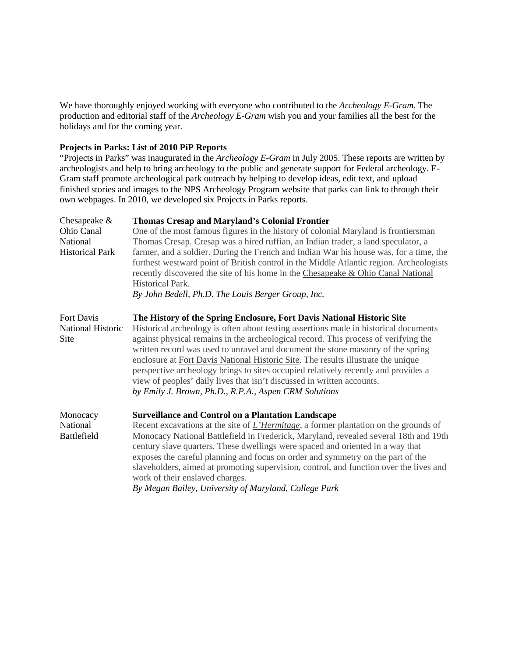We have thoroughly enjoyed working with everyone who contributed to the *Archeology E-Gram*. The production and editorial staff of the *Archeology E-Gram* wish you and your families all the best for the holidays and for the coming year.

# **Projects in Parks: List of 2010 PiP Reports**

"Projects in Parks" was inaugurated in the *Archeology E-Gram* in July 2005. These reports are written by archeologists and help to bring archeology to the public and generate support for Federal archeology. E-Gram staff promote archeological park outreach by helping to develop ideas, edit text, and upload finished stories and images to the NPS Archeology Program website that parks can link to through their own webpages. In 2010, we developed six Projects in Parks reports.

| Chesapeake $&$            | <b>Thomas Cresap and Maryland's Colonial Frontier</b>                                                                                                                                                                                                                                                                                                                                                                                                                                                                                                                        |
|---------------------------|------------------------------------------------------------------------------------------------------------------------------------------------------------------------------------------------------------------------------------------------------------------------------------------------------------------------------------------------------------------------------------------------------------------------------------------------------------------------------------------------------------------------------------------------------------------------------|
| Ohio Canal                | One of the most famous figures in the history of colonial Maryland is frontiersman                                                                                                                                                                                                                                                                                                                                                                                                                                                                                           |
| National                  | Thomas Cresap. Cresap was a hired ruffian, an Indian trader, a land speculator, a                                                                                                                                                                                                                                                                                                                                                                                                                                                                                            |
| <b>Historical Park</b>    | farmer, and a soldier. During the French and Indian War his house was, for a time, the<br>furthest westward point of British control in the Middle Atlantic region. Archeologists<br>recently discovered the site of his home in the Chesapeake & Ohio Canal National<br><b>Historical Park.</b><br>By John Bedell, Ph.D. The Louis Berger Group, Inc.                                                                                                                                                                                                                       |
| Fort Davis                | The History of the Spring Enclosure, Fort Davis National Historic Site                                                                                                                                                                                                                                                                                                                                                                                                                                                                                                       |
| National Historic<br>Site | Historical archeology is often about testing assertions made in historical documents<br>against physical remains in the archeological record. This process of verifying the<br>written record was used to unravel and document the stone masonry of the spring<br>enclosure at Fort Davis National Historic Site. The results illustrate the unique<br>perspective archeology brings to sites occupied relatively recently and provides a<br>view of peoples' daily lives that isn't discussed in written accounts.<br>by Emily J. Brown, Ph.D., R.P.A., Aspen CRM Solutions |
| Monocacy                  | <b>Surveillance and Control on a Plantation Landscape</b>                                                                                                                                                                                                                                                                                                                                                                                                                                                                                                                    |
| National                  | Recent excavations at the site of <i>L'Hermitage</i> , a former plantation on the grounds of                                                                                                                                                                                                                                                                                                                                                                                                                                                                                 |
| <b>Battlefield</b>        | Monocacy National Battlefield in Frederick, Maryland, revealed several 18th and 19th<br>century slave quarters. These dwellings were spaced and oriented in a way that<br>exposes the careful planning and focus on order and symmetry on the part of the<br>slaveholders, aimed at promoting supervision, control, and function over the lives and                                                                                                                                                                                                                          |
|                           | work of their enslaved charges.                                                                                                                                                                                                                                                                                                                                                                                                                                                                                                                                              |
|                           | By Megan Bailey, University of Maryland, College Park                                                                                                                                                                                                                                                                                                                                                                                                                                                                                                                        |